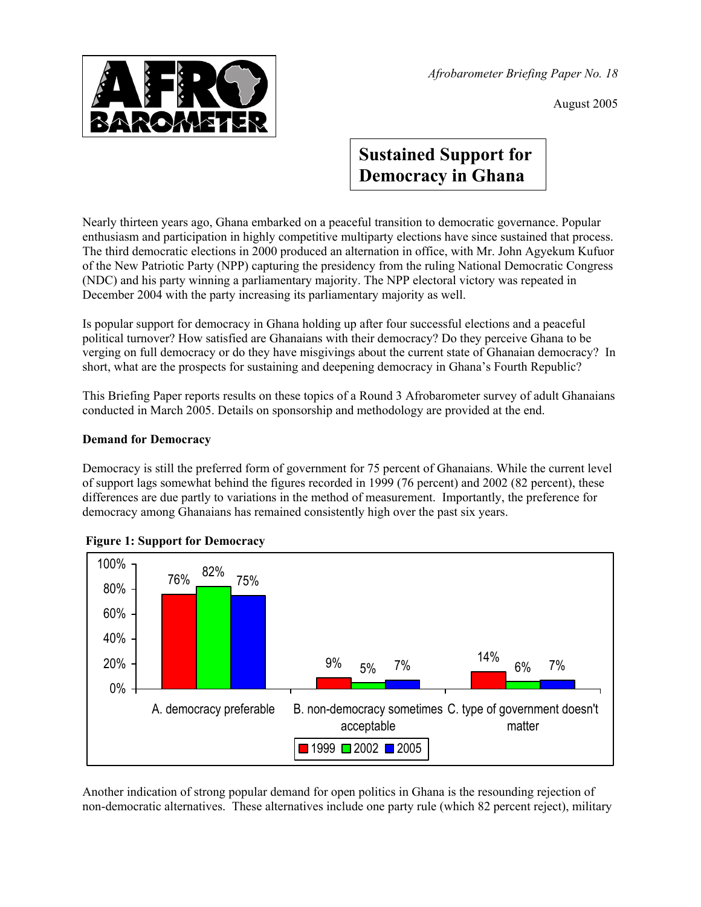

*Afrobarometer Briefing Paper No. 18* 

August 2005

# **Sustained Support for Democracy in Ghana**

Nearly thirteen years ago, Ghana embarked on a peaceful transition to democratic governance. Popular enthusiasm and participation in highly competitive multiparty elections have since sustained that process. The third democratic elections in 2000 produced an alternation in office, with Mr. John Agyekum Kufuor of the New Patriotic Party (NPP) capturing the presidency from the ruling National Democratic Congress (NDC) and his party winning a parliamentary majority. The NPP electoral victory was repeated in December 2004 with the party increasing its parliamentary majority as well.

Is popular support for democracy in Ghana holding up after four successful elections and a peaceful political turnover? How satisfied are Ghanaians with their democracy? Do they perceive Ghana to be verging on full democracy or do they have misgivings about the current state of Ghanaian democracy? In short, what are the prospects for sustaining and deepening democracy in Ghana's Fourth Republic?

This Briefing Paper reports results on these topics of a Round 3 Afrobarometer survey of adult Ghanaians conducted in March 2005. Details on sponsorship and methodology are provided at the end.

## **Demand for Democracy**

Democracy is still the preferred form of government for 75 percent of Ghanaians. While the current level of support lags somewhat behind the figures recorded in 1999 (76 percent) and 2002 (82 percent), these differences are due partly to variations in the method of measurement. Importantly, the preference for democracy among Ghanaians has remained consistently high over the past six years.



### **Figure 1: Support for Democracy**

Another indication of strong popular demand for open politics in Ghana is the resounding rejection of non-democratic alternatives. These alternatives include one party rule (which 82 percent reject), military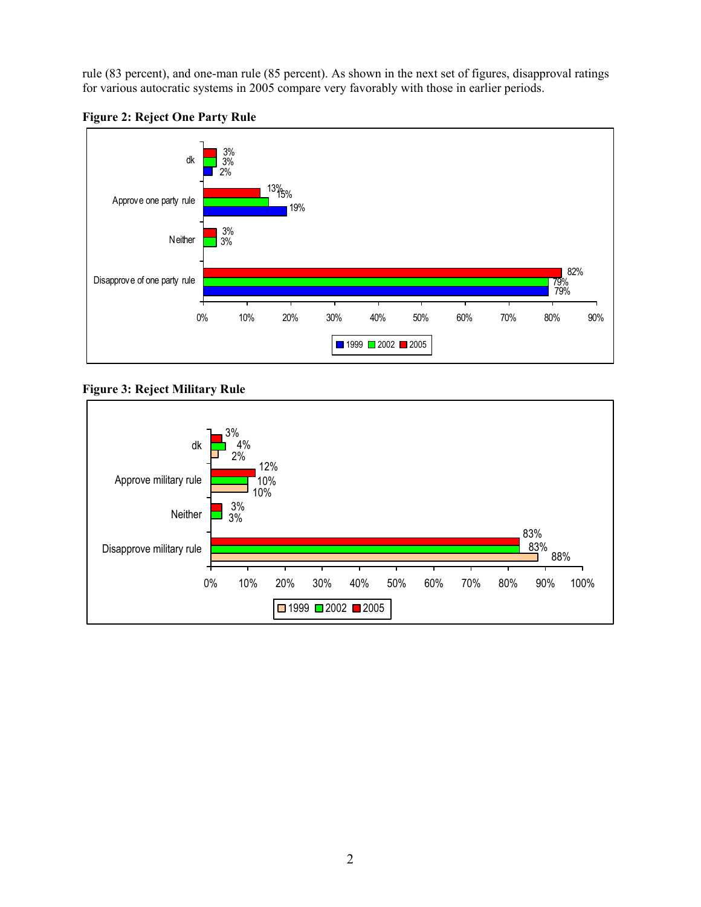rule (83 percent), and one-man rule (85 percent). As shown in the next set of figures, disapproval ratings for various autocratic systems in 2005 compare very favorably with those in earlier periods.





### **Figure 3: Reject Military Rule**

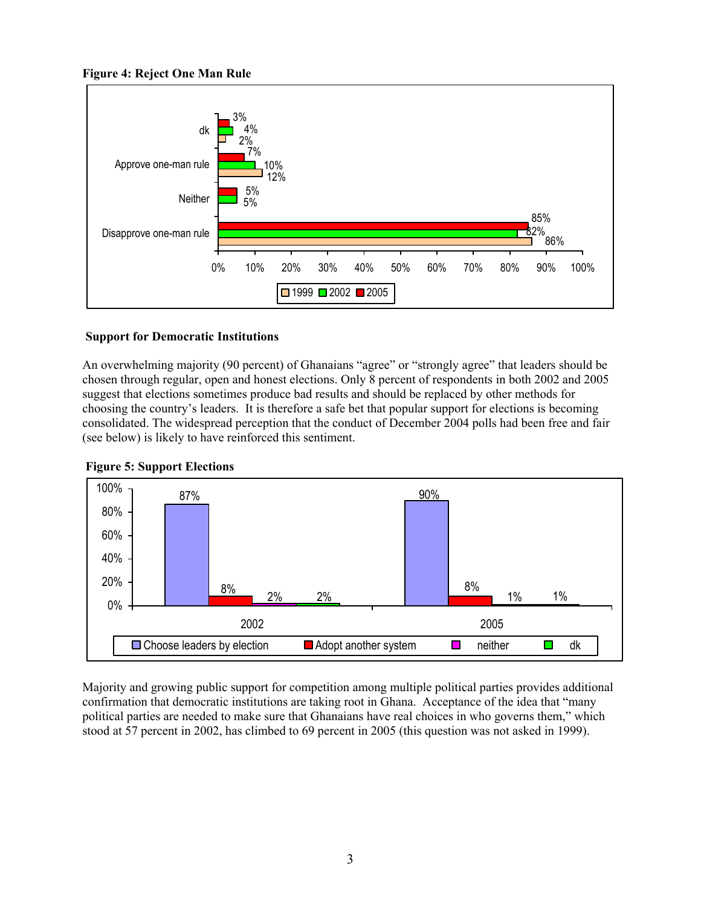



### **Support for Democratic Institutions**

An overwhelming majority (90 percent) of Ghanaians "agree" or "strongly agree" that leaders should be chosen through regular, open and honest elections. Only 8 percent of respondents in both 2002 and 2005 suggest that elections sometimes produce bad results and should be replaced by other methods for choosing the country's leaders. It is therefore a safe bet that popular support for elections is becoming consolidated. The widespread perception that the conduct of December 2004 polls had been free and fair (see below) is likely to have reinforced this sentiment.





Majority and growing public support for competition among multiple political parties provides additional confirmation that democratic institutions are taking root in Ghana. Acceptance of the idea that "many political parties are needed to make sure that Ghanaians have real choices in who governs them," which stood at 57 percent in 2002, has climbed to 69 percent in 2005 (this question was not asked in 1999).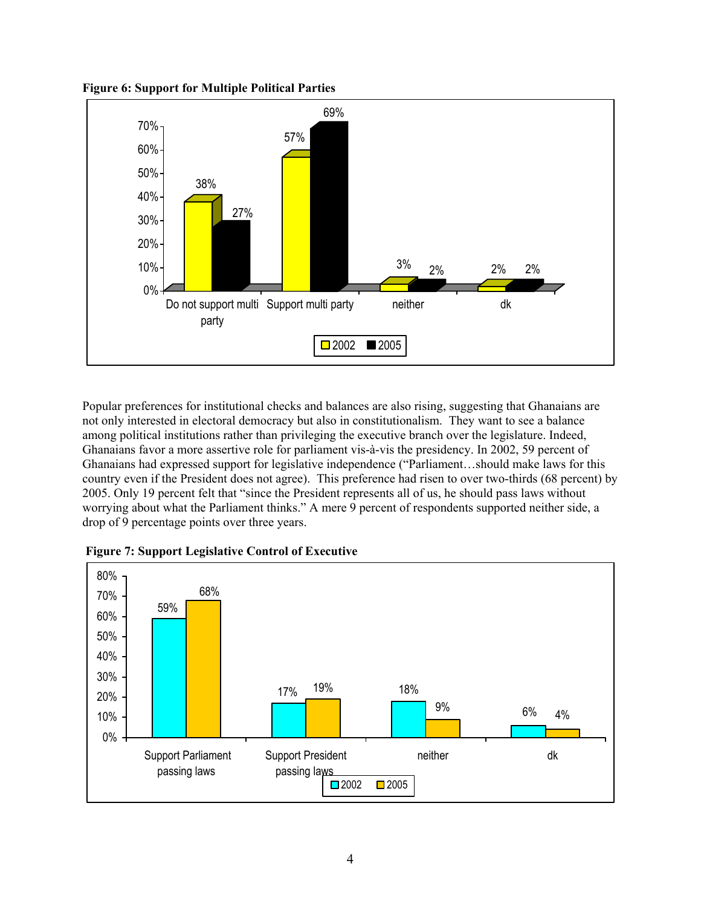



Popular preferences for institutional checks and balances are also rising, suggesting that Ghanaians are not only interested in electoral democracy but also in constitutionalism. They want to see a balance among political institutions rather than privileging the executive branch over the legislature. Indeed, Ghanaians favor a more assertive role for parliament vis-à-vis the presidency. In 2002, 59 percent of Ghanaians had expressed support for legislative independence ("Parliament…should make laws for this country even if the President does not agree). This preference had risen to over two-thirds (68 percent) by 2005. Only 19 percent felt that "since the President represents all of us, he should pass laws without worrying about what the Parliament thinks." A mere 9 percent of respondents supported neither side, a drop of 9 percentage points over three years.



 **Figure 7: Support Legislative Control of Executive**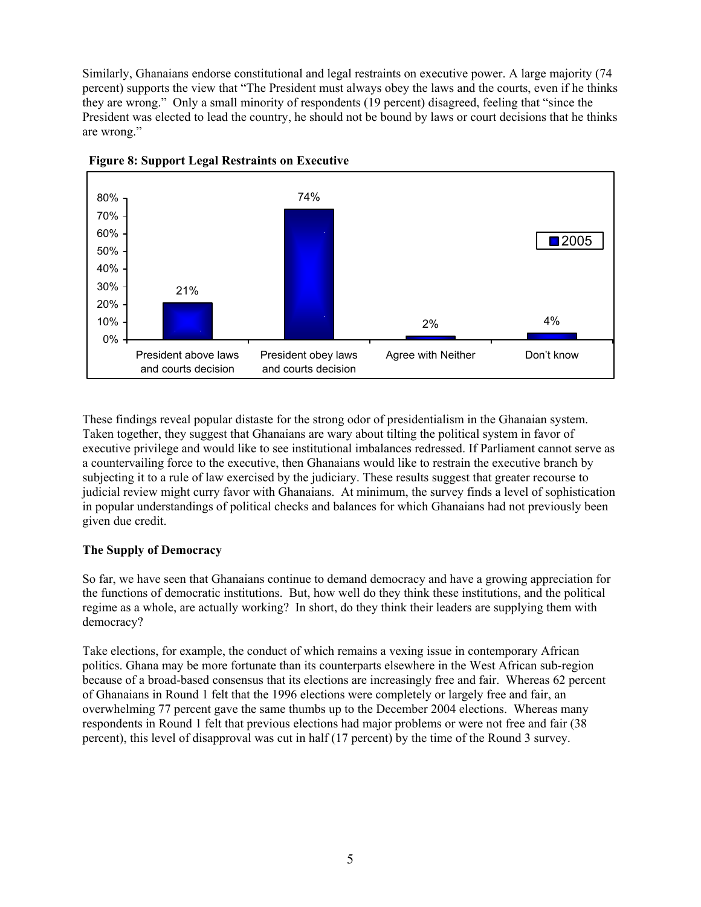Similarly, Ghanaians endorse constitutional and legal restraints on executive power. A large majority (74 percent) supports the view that "The President must always obey the laws and the courts, even if he thinks they are wrong." Only a small minority of respondents (19 percent) disagreed, feeling that "since the President was elected to lead the country, he should not be bound by laws or court decisions that he thinks are wrong."





These findings reveal popular distaste for the strong odor of presidentialism in the Ghanaian system. Taken together, they suggest that Ghanaians are wary about tilting the political system in favor of executive privilege and would like to see institutional imbalances redressed. If Parliament cannot serve as a countervailing force to the executive, then Ghanaians would like to restrain the executive branch by subjecting it to a rule of law exercised by the judiciary. These results suggest that greater recourse to judicial review might curry favor with Ghanaians. At minimum, the survey finds a level of sophistication in popular understandings of political checks and balances for which Ghanaians had not previously been given due credit.

### **The Supply of Democracy**

So far, we have seen that Ghanaians continue to demand democracy and have a growing appreciation for the functions of democratic institutions. But, how well do they think these institutions, and the political regime as a whole, are actually working? In short, do they think their leaders are supplying them with democracy?

Take elections, for example, the conduct of which remains a vexing issue in contemporary African politics. Ghana may be more fortunate than its counterparts elsewhere in the West African sub-region because of a broad-based consensus that its elections are increasingly free and fair. Whereas 62 percent of Ghanaians in Round 1 felt that the 1996 elections were completely or largely free and fair, an overwhelming 77 percent gave the same thumbs up to the December 2004 elections. Whereas many respondents in Round 1 felt that previous elections had major problems or were not free and fair (38 percent), this level of disapproval was cut in half (17 percent) by the time of the Round 3 survey.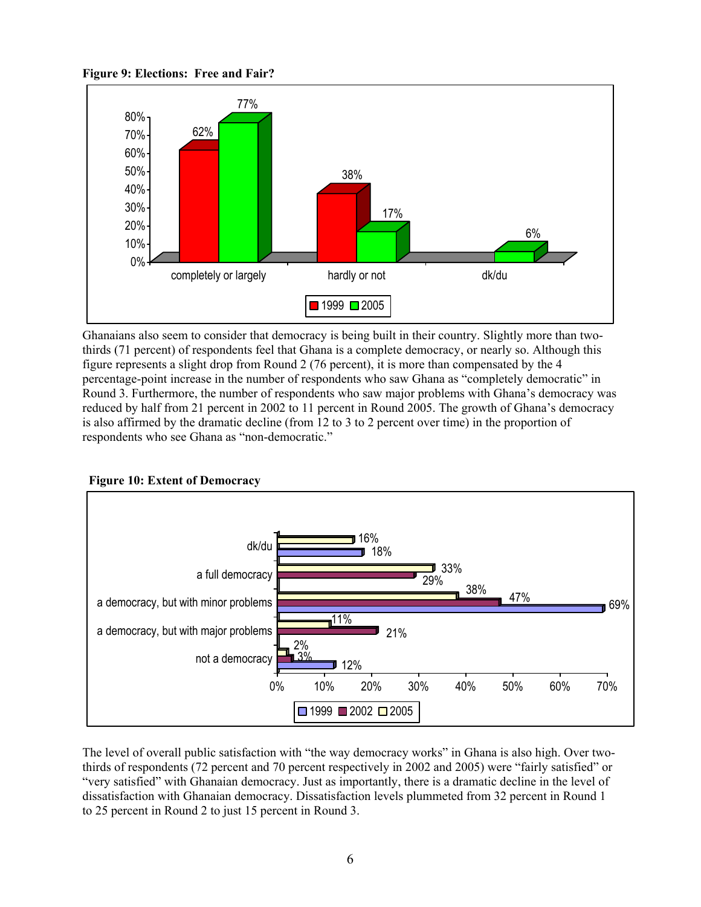**Figure 9: Elections: Free and Fair?**



Ghanaians also seem to consider that democracy is being built in their country. Slightly more than twothirds (71 percent) of respondents feel that Ghana is a complete democracy, or nearly so. Although this figure represents a slight drop from Round 2 (76 percent), it is more than compensated by the 4 percentage-point increase in the number of respondents who saw Ghana as "completely democratic" in Round 3. Furthermore, the number of respondents who saw major problems with Ghana's democracy was reduced by half from 21 percent in 2002 to 11 percent in Round 2005. The growth of Ghana's democracy is also affirmed by the dramatic decline (from 12 to 3 to 2 percent over time) in the proportion of respondents who see Ghana as "non-democratic."



 **Figure 10: Extent of Democracy** 

The level of overall public satisfaction with "the way democracy works" in Ghana is also high. Over twothirds of respondents (72 percent and 70 percent respectively in 2002 and 2005) were "fairly satisfied" or "very satisfied" with Ghanaian democracy. Just as importantly, there is a dramatic decline in the level of dissatisfaction with Ghanaian democracy. Dissatisfaction levels plummeted from 32 percent in Round 1 to 25 percent in Round 2 to just 15 percent in Round 3.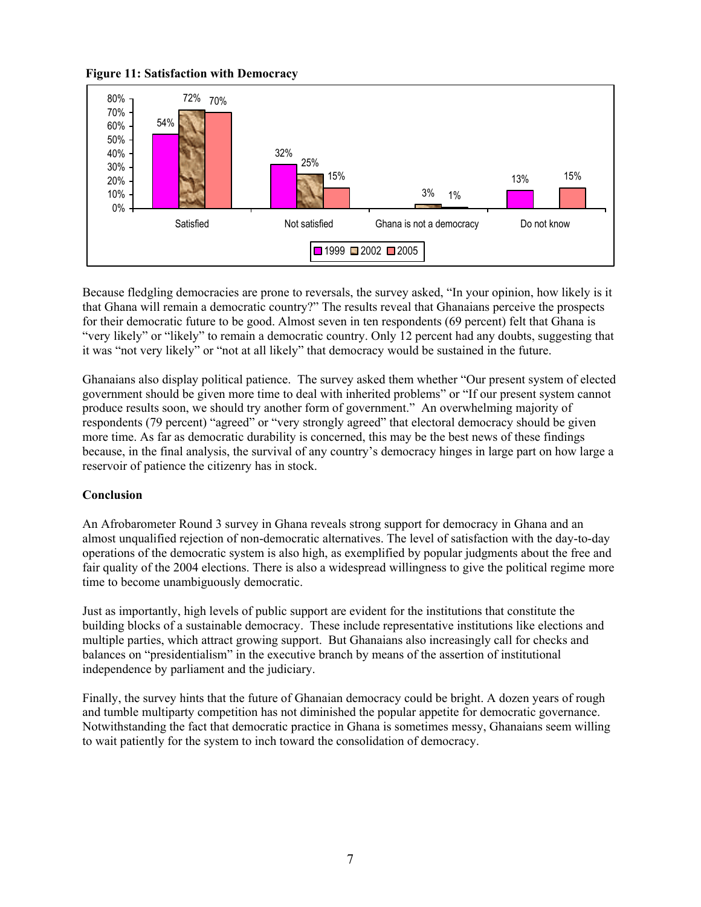**Figure 11: Satisfaction with Democracy** 



Because fledgling democracies are prone to reversals, the survey asked, "In your opinion, how likely is it that Ghana will remain a democratic country?" The results reveal that Ghanaians perceive the prospects for their democratic future to be good. Almost seven in ten respondents (69 percent) felt that Ghana is "very likely" or "likely" to remain a democratic country. Only 12 percent had any doubts, suggesting that it was "not very likely" or "not at all likely" that democracy would be sustained in the future.

Ghanaians also display political patience. The survey asked them whether "Our present system of elected government should be given more time to deal with inherited problems" or "If our present system cannot produce results soon, we should try another form of government." An overwhelming majority of respondents (79 percent) "agreed" or "very strongly agreed" that electoral democracy should be given more time. As far as democratic durability is concerned, this may be the best news of these findings because, in the final analysis, the survival of any country's democracy hinges in large part on how large a reservoir of patience the citizenry has in stock.

### **Conclusion**

An Afrobarometer Round 3 survey in Ghana reveals strong support for democracy in Ghana and an almost unqualified rejection of non-democratic alternatives. The level of satisfaction with the day-to-day operations of the democratic system is also high, as exemplified by popular judgments about the free and fair quality of the 2004 elections. There is also a widespread willingness to give the political regime more time to become unambiguously democratic.

Just as importantly, high levels of public support are evident for the institutions that constitute the building blocks of a sustainable democracy. These include representative institutions like elections and multiple parties, which attract growing support. But Ghanaians also increasingly call for checks and balances on "presidentialism" in the executive branch by means of the assertion of institutional independence by parliament and the judiciary.

Finally, the survey hints that the future of Ghanaian democracy could be bright. A dozen years of rough and tumble multiparty competition has not diminished the popular appetite for democratic governance. Notwithstanding the fact that democratic practice in Ghana is sometimes messy, Ghanaians seem willing to wait patiently for the system to inch toward the consolidation of democracy.